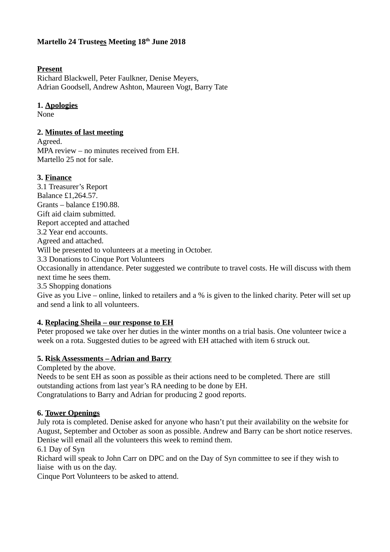## **Martello 24 Trustees Meeting 18th June 2018**

### **Present**

Richard Blackwell, Peter Faulkner, Denise Meyers, Adrian Goodsell, Andrew Ashton, Maureen Vogt, Barry Tate

## **1. Apologies**

None

## **2. Minutes of last meeting**

Agreed. MPA review – no minutes received from EH. Martello 25 not for sale.

## **3. Finance**

3.1 Treasurer's Report Balance £1,264.57. Grants – balance £190.88. Gift aid claim submitted. Report accepted and attached 3.2 Year end accounts. Agreed and attached. Will be presented to volunteers at a meeting in October. 3.3 Donations to Cinque Port Volunteers Occasionally in attendance. Peter suggested we contribute to travel costs. He will discuss with them next time he sees them. 3.5 Shopping donations

Give as you Live – online, linked to retailers and a % is given to the linked charity. Peter will set up and send a link to all volunteers.

## **4. Replacing Sheila – our response to EH**

Peter proposed we take over her duties in the winter months on a trial basis. One volunteer twice a week on a rota. Suggested duties to be agreed with EH attached with item 6 struck out.

## **5. Risk Assessments – Adrian and Barry**

Completed by the above.

Needs to be sent EH as soon as possible as their actions need to be completed. There are still outstanding actions from last year's RA needing to be done by EH. Congratulations to Barry and Adrian for producing 2 good reports.

#### **6. Tower Openings**

July rota is completed. Denise asked for anyone who hasn't put their availability on the website for August, September and October as soon as possible. Andrew and Barry can be short notice reserves. Denise will email all the volunteers this week to remind them.

6.1 Day of Syn

Richard will speak to John Carr on DPC and on the Day of Syn committee to see if they wish to liaise with us on the day.

Cinque Port Volunteers to be asked to attend.